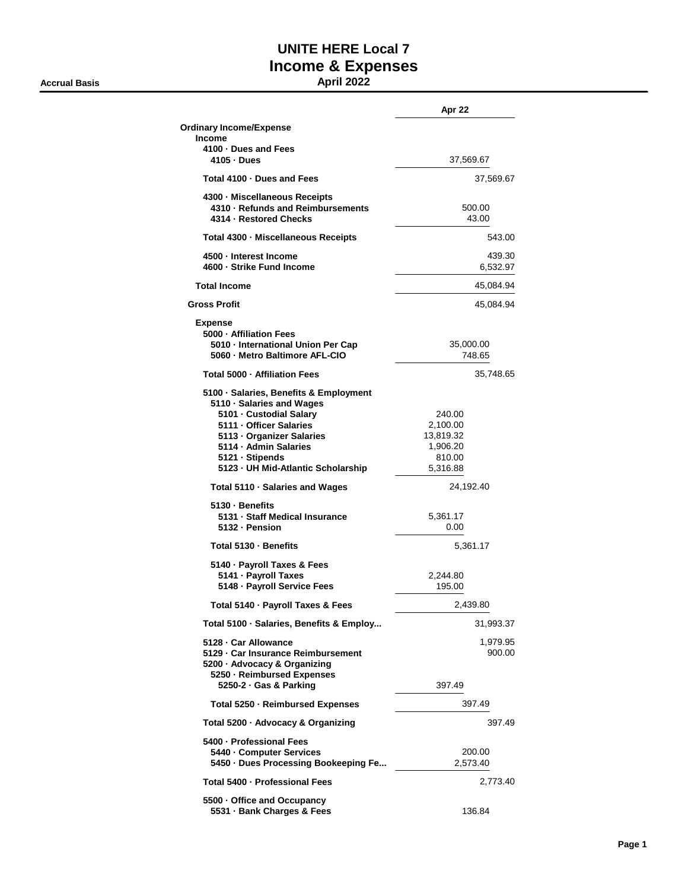**Accrual Basis April 2022**

## **UNITE HERE Local 7 Income & Expenses**

|                                                                                                                                                                                                                                          | Apr 22                                                            |
|------------------------------------------------------------------------------------------------------------------------------------------------------------------------------------------------------------------------------------------|-------------------------------------------------------------------|
| <b>Ordinary Income/Expense</b><br><b>Income</b>                                                                                                                                                                                          |                                                                   |
| 4100 · Dues and Fees<br>4105 - Dues                                                                                                                                                                                                      | 37,569.67                                                         |
| Total 4100 - Dues and Fees                                                                                                                                                                                                               | 37,569.67                                                         |
| 4300 - Miscellaneous Receipts<br>4310 · Refunds and Reimbursements<br>4314 - Restored Checks                                                                                                                                             | 500.00<br>43.00                                                   |
| Total 4300 · Miscellaneous Receipts                                                                                                                                                                                                      | 543.00                                                            |
| 4500 - Interest Income<br>4600 · Strike Fund Income                                                                                                                                                                                      | 439.30<br>6,532.97                                                |
| <b>Total Income</b>                                                                                                                                                                                                                      | 45,084.94                                                         |
| <b>Gross Profit</b>                                                                                                                                                                                                                      | 45,084.94                                                         |
| <b>Expense</b><br>5000 - Affiliation Fees<br>5010 - International Union Per Cap<br>5060 - Metro Baltimore AFL-CIO                                                                                                                        | 35,000.00<br>748.65                                               |
| Total 5000 - Affiliation Fees                                                                                                                                                                                                            | 35,748.65                                                         |
| 5100 · Salaries, Benefits & Employment<br>5110 · Salaries and Wages<br>5101 - Custodial Salarv<br>5111 - Officer Salaries<br>5113 - Organizer Salaries<br>5114 - Admin Salaries<br>5121 · Stipends<br>5123 - UH Mid-Atlantic Scholarship | 240.00<br>2,100.00<br>13,819.32<br>1,906.20<br>810.00<br>5,316.88 |
| Total 5110 · Salaries and Wages                                                                                                                                                                                                          | 24,192.40                                                         |
| 5130 · Benefits<br>5131 · Staff Medical Insurance<br>5132 · Pension                                                                                                                                                                      | 5,361.17<br>0.00                                                  |
| Total 5130 · Benefits                                                                                                                                                                                                                    | 5,361.17                                                          |
| 5140 · Payroll Taxes & Fees<br>5141 - Payroll Taxes<br>5148 - Payroll Service Fees                                                                                                                                                       | 2,244.80<br>195.00                                                |
| Total 5140 · Payroll Taxes & Fees                                                                                                                                                                                                        | 2,439.80                                                          |
| Total 5100 · Salaries, Benefits & Employ                                                                                                                                                                                                 | 31,993.37                                                         |
| 5128 - Car Allowance<br>5129 - Car Insurance Reimbursement<br>5200 · Advocacy & Organizing<br>5250 · Reimbursed Expenses                                                                                                                 | 1,979.95<br>900.00                                                |
| 5250-2 · Gas & Parking                                                                                                                                                                                                                   | 397.49                                                            |
| Total 5250 - Reimbursed Expenses                                                                                                                                                                                                         | 397.49                                                            |
| Total 5200 · Advocacy & Organizing                                                                                                                                                                                                       | 397.49                                                            |
| 5400 - Professional Fees<br>5440 - Computer Services<br>5450 · Dues Processing Bookeeping Fe                                                                                                                                             | 200.00<br>2,573.40                                                |
| Total 5400 - Professional Fees                                                                                                                                                                                                           | 2,773.40                                                          |
| 5500 Office and Occupancy<br>5531 · Bank Charges & Fees                                                                                                                                                                                  | 136.84                                                            |